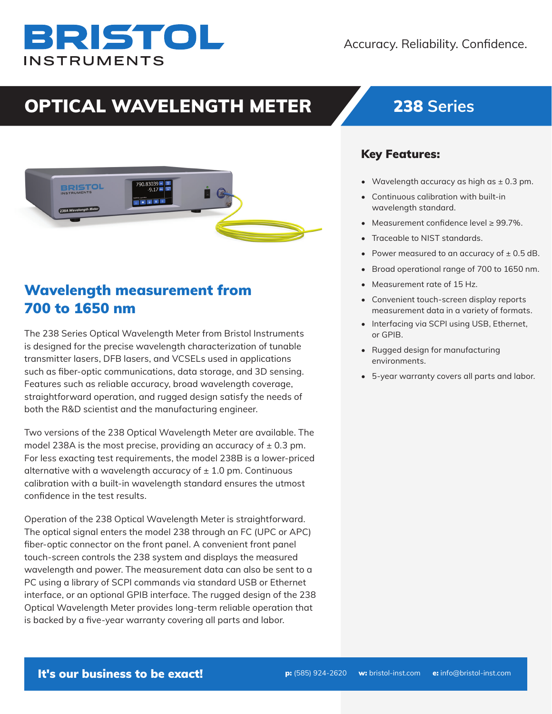# BRISTOL **INSTRUMENTS**

## OPTICAL WAVELENGTH METER 238 **Series**



## Wavelength measurement from 700 to 1650 nm

The 238 Series Optical Wavelength Meter from Bristol Instruments is designed for the precise wavelength characterization of tunable transmitter lasers, DFB lasers, and VCSELs used in applications such as fiber-optic communications, data storage, and 3D sensing. Features such as reliable accuracy, broad wavelength coverage, straightforward operation, and rugged design satisfy the needs of both the R&D scientist and the manufacturing engineer.

Two versions of the 238 Optical Wavelength Meter are available. The model 238A is the most precise, providing an accuracy of  $\pm$  0.3 pm. For less exacting test requirements, the model 238B is a lower-priced alternative with a wavelength accuracy of  $\pm$  1.0 pm. Continuous calibration with a built-in wavelength standard ensures the utmost confidence in the test results.

Operation of the 238 Optical Wavelength Meter is straightforward. The optical signal enters the model 238 through an FC (UPC or APC) fiber-optic connector on the front panel. A convenient front panel touch-screen controls the 238 system and displays the measured wavelength and power. The measurement data can also be sent to a PC using a library of SCPI commands via standard USB or Ethernet interface, or an optional GPIB interface. The rugged design of the 238 Optical Wavelength Meter provides long-term reliable operation that is backed by a five-year warranty covering all parts and labor.

### Key Features:

- Wavelength accuracy as high as  $\pm$  0.3 pm.
- Continuous calibration with built-in wavelength standard.
- Measurement confidence level ≥ 99.7%.
- Traceable to NIST standards.
- Power measured to an accuracy of  $\pm$  0.5 dB.
- Broad operational range of 700 to 1650 nm.
- Measurement rate of 15 Hz.
- Convenient touch-screen display reports measurement data in a variety of formats.
- Interfacing via SCPI using USB, Ethernet, or GPIB.
- Rugged design for manufacturing environments.
- 5-year warranty covers all parts and labor.